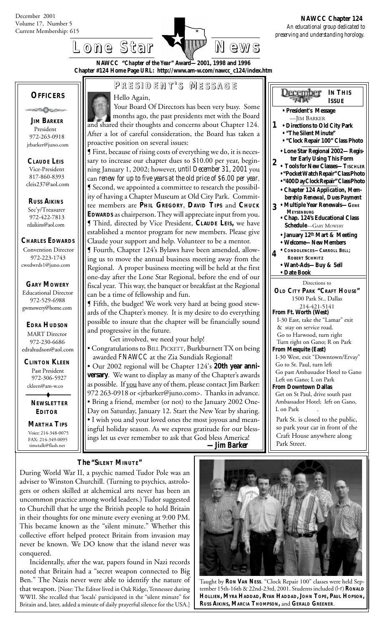

December

**IN THIS ISSUE**



**NAWCC "***Chapter of the Year***" Award—2001, 1998 and 1996 Chapter #124 Home Page URL: http://www.am-w.com/nawcc\_c124/index.htm**

## **OFFICERS**

൹൫ഄൟഄ

 **JIM BARKER** President 972-263-0918 jrbarker@juno.com

 **CLAUDE LEIS** Vice-President 817-860-8393 cleis237@aol.com

 **RUSS AIKINS** Sec'y/Treasurer 972-422-7813 rdaikins@aol.com

**CHARLES EDWARDS**

Convention Director 972-223-1743 cwedwrds1@juno.com

#### **GARY MOWERY**

Educational Director 972-529-6988 gwmowery@home.com

# **EDRA HUDSON**

**MART** Director 972-230-6686 edrahudson@aol.com

 **CLINTON KLEEN** Past President 972-306-5927 ckleen@am-w.co

> **NEWSLETTER EDITOR**

 **MARTHA TIPS** Voice: 214-348-0075 FAX: 214-349-0095 timetalk@flash.net

# **P RESIDENT RESIDENT' S M ESSAGE**

### Hello Again,

Your Board Of Directors has been very busy. Some months ago, the past presidents met with the Board and shared their thoughts and concerns about Chapter 124. After a lot of careful consideration, the Board has taken a proactive position on several issues:

¶ First, because of rising costs of everything we do, it is necessary to increase our chapter dues to \$10.00 per year, beginning January 1, 2002; however, *until December 31, 2001* you can *renew for up to five years at the old price of \$6.00 per year*. ¶ Second, we appointed a committee to research the possibility of having a Chapter Museum at Old City Park. Committee members are **PHIL GREGORY**, **DAVID TIPS** and **CHUCK EDWARDS** as chairperson. They will appreciate input from you. ¶ Third, directed by Vice President, **CLAUDE LEIS,** we have established a mentor program for new members. Please give Claude your support and help. Volunteer to be a mentor.

¶ Fourth, Chapter 124's Bylaws have been amended, allowing us to move the annual business meeting away from the Regional. A proper business meeting will be held at the first one-day after the Lone Star Regional, before the end of our fiscal year. This way, the banquet or breakfast at the Regional can be a time of fellowship and fun.

¶ Fifth, the budget! We work very hard at being good stewards of the Chapter's money. It is my desire to do everything possible to insure that the chapter will be financially sound and progressive in the future.

Get involved, we need your help!

• Congratulations to BILL PICKETT, Burkburnett TX on being awarded *FNAWCC* at the Zia Sundials Regional!

• Our 2002 regional will be Chapter 124's **20th year anniversary**. We want to display as many of the Chapter's awards as possible. If you have any of them, please contact Jim Barker: 972 263-0918 or <jrbarker@juno.com>. Thanks in advance. • Bring a friend, member (or not) to the January 2002 One-Day on Saturday, January 12. Start the New Year by sharing. • I wish you and your loved ones the most joyous and meaningful holiday season. As we express gratitude for our blessings let us ever remember to ask that God bless America!  *—Jim Barker*

#### **• President's Message** —JIM BARKER **• Directions to Old City Park 1 •** *"***The Silent Minute***"* **• "Clock Repair 100" Class Photo 4 2 • Chapter 124** *Application, Mem bership Renewal, Dues Payment* **• Multiple Year Renewals—GENE** • January 12<sup>th</sup> Mart & Meeting **• Welcome—New Members • CONDOLENCES—CARROLL BELL; ROBERT SCHMITZ • Want-Ads—Buy & Sell • Date Book 3 • Lone Star Regional 2002—Regis ter Early Using This Form • Tools for New Classes—TISCHLER • "Pocket Watch Repair" Class Photo • "400 Day Clock Repair" Class Photo** Directions to **OLD CITY PARK "CRAFT HOUSE"** 1500 Park St., Dallas 214-421-5141 **From Ft. Worth (West)** I-30 East, take the "Lamar" exit & stay on service road. Go to Harwood, turn right Turn right on Gano; R on Park **From Mesquite (East)** I-30 West, exit "Downtown/Ervay" Go to St. Paul, turn left Go past Ambassador Hotel to Gano Left on Gano; L on Park **From Downtown Dallas** Get on St Paul, drive south past Ambassador Hotel; left on Gano, L on Park Park St. is closed to the public, so park your car in front of the Craft House anywhere along Park Street.  **MEYSENBURG • Chap. 124's Educational Class Schedule**—GARY MOWERY

**The "SILENT MINUTE"**

During World War II, a psychic named Tudor Pole was an adviser to Winston Churchill. (Turning to psychics, astrologers or others skilled at alchemical arts never has been an uncommon practice among world leaders.) Tudor suggested to Churchill that he urge the British people to hold Britain in their thoughts for one minute every evening at 9:00 PM. This became known as the "silent minute." Whether this collective effort helped protect Britain from invasion may never be known. We DO know that the island never was conquered.

Incidentally, after the war, papers found in Nazi records noted that Britain had a "secret weapon connected to Big Ben." The Nazis never were able to identify the nature of that weapon. [Note: The Editor lived in Oak Ridge, Tennessee during WWII. She recalled that 'locals' participated in the "silent minute" for Britain and, later, added a minute of daily prayerful silence for the USA.]



Taught by **RON VAN NESS**. "Clock Repair 100" classes were held September 15th-16th & 22nd-23rd, 2001. Students included (*l-r*) **RONALD HOLLIEN, MYRA HADDAD, RYAN HADDAD, JOHN TOPE, PAUL HOPSON, RUSS AIKINS, MARCIA THOMPSON,** and **GERALD GREENER**.

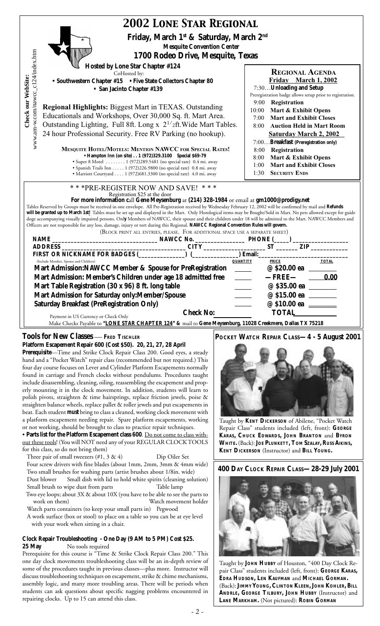| <b>2002 LONE STAR REGIONAL</b>                                                                                                                                                                                                                                                                                                                                                                                                                                                                                                                                                                                                                                                                                                                                                                                                                                                                                                                                                                                                                                                                                                                                                                                                                                                                                                                                             |                                                                                                                                                                                                                                                                                                                                                                  |  |  |  |  |
|----------------------------------------------------------------------------------------------------------------------------------------------------------------------------------------------------------------------------------------------------------------------------------------------------------------------------------------------------------------------------------------------------------------------------------------------------------------------------------------------------------------------------------------------------------------------------------------------------------------------------------------------------------------------------------------------------------------------------------------------------------------------------------------------------------------------------------------------------------------------------------------------------------------------------------------------------------------------------------------------------------------------------------------------------------------------------------------------------------------------------------------------------------------------------------------------------------------------------------------------------------------------------------------------------------------------------------------------------------------------------|------------------------------------------------------------------------------------------------------------------------------------------------------------------------------------------------------------------------------------------------------------------------------------------------------------------------------------------------------------------|--|--|--|--|
| Friday, March 1 <sup>st</sup> & Saturday, March 2 <sup>nd</sup>                                                                                                                                                                                                                                                                                                                                                                                                                                                                                                                                                                                                                                                                                                                                                                                                                                                                                                                                                                                                                                                                                                                                                                                                                                                                                                            |                                                                                                                                                                                                                                                                                                                                                                  |  |  |  |  |
| <b>Mesquite Convention Center</b><br>1700 Rodeo Drive, Mesquite, Texas                                                                                                                                                                                                                                                                                                                                                                                                                                                                                                                                                                                                                                                                                                                                                                                                                                                                                                                                                                                                                                                                                                                                                                                                                                                                                                     |                                                                                                                                                                                                                                                                                                                                                                  |  |  |  |  |
| www.am-w.com/nawcc_c124/index.htm<br>Hosted by Lone Star Chapter #124<br>CoHosted by:<br>• Southwestern Chapter #15 • Five State Collectors Chapter 80<br>• San Jacinto Chapter #139                                                                                                                                                                                                                                                                                                                                                                                                                                                                                                                                                                                                                                                                                                                                                                                                                                                                                                                                                                                                                                                                                                                                                                                       | <b>REGIONAL AGENDA</b><br>Friday March 1, 2002<br>7:30Unloading and Setup                                                                                                                                                                                                                                                                                        |  |  |  |  |
| Check our WebSite:<br><b>Regional Highlights: Biggest Mart in TEXAS. Outstanding</b><br>Educationals and Workshops, Over 30,000 Sq. ft. Mart Area.                                                                                                                                                                                                                                                                                                                                                                                                                                                                                                                                                                                                                                                                                                                                                                                                                                                                                                                                                                                                                                                                                                                                                                                                                         | Preregistration badge allows setup prior to registration.<br>9:00 Registration<br>10:00<br>Mart & Exhibit Opens<br><b>Mart and Exhibit Closes</b><br>7:00                                                                                                                                                                                                        |  |  |  |  |
| Outstanding Lighting, Full 8ft. Long x 2 <sup>1/</sup> 2ft. Wide Mart Tables.<br>24 hour Professional Security. Free RV Parking (no hookup).                                                                                                                                                                                                                                                                                                                                                                                                                                                                                                                                                                                                                                                                                                                                                                                                                                                                                                                                                                                                                                                                                                                                                                                                                               | <b>Auction Held in Mart Room</b><br>8:00<br><b>Saturday March 2, 2002</b><br>7:00Breakfast (Preregistration only)                                                                                                                                                                                                                                                |  |  |  |  |
| <b>MESQUITE HOTEL/MOTELS: MENTION NAWCC FOR SPECIAL RATES!</b><br>• Hampton Inn (on site) 1 (972) 329.3100 Special \$69-79<br>• Super 8 Motel 1 (972)289.5481 (no special rate) 0.4 mi. away<br>· Spanish Trails Inn 1 (972)226.9800 (no special rate) 0.8 mi. away<br>· Marriott Courtyard 1 (972) 681.3300 (no special rate) 4.0 mi. away                                                                                                                                                                                                                                                                                                                                                                                                                                                                                                                                                                                                                                                                                                                                                                                                                                                                                                                                                                                                                                | 8:00 Registration<br>Mart & Exhibit Opens<br>8:00<br><b>Mart and Exhibit Closes</b><br>1:00<br><b>SECURITY ENDS</b><br>1:30                                                                                                                                                                                                                                      |  |  |  |  |
| *** PRE-REGISTER NOW AND SAVE! ***<br>Registration \$25 at the door<br>For more information call Gene Meysenburg at (214) 328-1984 or email at gm1000@prodigy.net<br>Tables Reserved by Groups must be received in one envelope. All Pre-Registration received by Wednesday February 12, 2002 will be confirmed by mail and Refunds<br>will be granted up to March 1st! Tables must be set up and displayed in the Mart. Only Horological items may be Bought/Sold in Mart. No pets allowed except for guide<br>doge accompanying visually impaired persons. Only Members of NAWCC, their spouse and their children under 18 will be admitted to the Mart. NAWCC Members and<br>Officers are not responsible for any loss, damage, injury or tort during this Regional. NAWCC Regional Convention Rules will govern.<br>(BLOCK PRINT ALL ENTRIES, PLEASE. FOR ADDITIONAL SPACE USE A SEPARATE SHEET)                                                                                                                                                                                                                                                                                                                                                                                                                                                                       |                                                                                                                                                                                                                                                                                                                                                                  |  |  |  |  |
|                                                                                                                                                                                                                                                                                                                                                                                                                                                                                                                                                                                                                                                                                                                                                                                                                                                                                                                                                                                                                                                                                                                                                                                                                                                                                                                                                                            |                                                                                                                                                                                                                                                                                                                                                                  |  |  |  |  |
| (Include Member, Spouse and Children)                                                                                                                                                                                                                                                                                                                                                                                                                                                                                                                                                                                                                                                                                                                                                                                                                                                                                                                                                                                                                                                                                                                                                                                                                                                                                                                                      | <b>TOTAL</b><br><b>QUANTITY</b><br><b>PRICE</b>                                                                                                                                                                                                                                                                                                                  |  |  |  |  |
| Mart Admission:NAWCC Member & Spouse for PreRegistration _____<br>Mart Admission: Member's Children under age 18 admitted free ______<br>Mart Table Registration (30 x 96) 8 ft. long table<br>Mart Admission for Saturday only: Member/Spouse<br><b>Saturday Breakfast (PreRegistration Only)</b><br><b>Check No:</b><br>Payment in US Currency or Check Only<br>Make Checks Payable to "LONE STAR CHAPTER 124" & mail to Gene Meysenburg, 11028 Creekmere, Dallas TX 75218                                                                                                                                                                                                                                                                                                                                                                                                                                                                                                                                                                                                                                                                                                                                                                                                                                                                                               | 0.00<br>$-$ FREE $-$<br>@ \$35.00 ea<br><b>TOTAL</b>                                                                                                                                                                                                                                                                                                             |  |  |  |  |
| <b>Tools for New Classes - FRED TISCHLER</b><br>Platform Escapement Repair 600 (Cost \$50). 20, 21, 27, 28 April<br>Prerequisite-Time and Strike Clock Repair Class 200. Good eyes, a steady<br>hand and a "Pocket Watch" repair class (recommended but not required.) This<br>four day course focuses on Lever and Cylinder Platform Escapements normally<br>found in carriage and French clocks without pendulums. Procedures taught<br>include disassembling, cleaning, oiling, reassembling the escapement and prop-<br>erly mounting it in the clock movement. In addition, students will learn to<br>polish pivots, straighten & time hairsprings, replace friction jewels, poise &<br>straighten balance wheels, replace pallet & roller jewels and put escapements in<br>beat. Each student <b>must</b> bring to class a cleaned, working clock movement with<br>a platform escapement needing repair. Spare platform escapements, working<br>or not working, should be brought to class to practice repair techniques.<br>• Parts list for the Platform Escapement class 600. Do not come to class with-<br>out these tools! (You will NOT need any of your REGULAR CLOCK TOOLS<br>for this class, so do not bring them)<br>Three pair of small tweezers $(\#1, 3 \& 4)$<br>Dip Oiler Set<br>Four screw drivers with fine blades (about 1mm, 2mm, 3mm & 4mm wide) | POCKET WATCH REPAIR CLASS-4 - 5 August 2001<br>Taught by KENT DICKERSON of Abilene, "Pocket Watch<br>Repair Class" students included (left, front): GEORGE<br>KARAS, CHUCK EDWARDS, JOHN BRANTON and BYRON<br>WHITE. (Back): JOE PLUNKETT, TOM SZALAY, RUSS AIKINS,<br>KENT DICKERSON (Instructor) and BILL YOUNG.<br>400 DAY CLOCK REPAIR CLASS-28-29 July 2001 |  |  |  |  |
| Two small brushes for washing parts (artist brushes about 1/8in. wide)<br>Small dish with lid to hold white spirits (cleaning solution)<br>Dust blower<br>Small brush to wipe dust from parts<br>Table lamp<br>Two eye loops; about 3X & about 10X (you have to be able to see the parts to<br>work on them)<br>Watch movement holder<br>Watch parts containers (to keep your small parts in) Pegwood<br>A work surface (box or stool) to place on a table so you can be at eye level<br>with your work when sitting in a chair.<br>Clock Repair Troubleshooting - One Day (9 AM to 5 PM) Cost \$25.<br>No tools required<br>25 May<br>Prerequisite for this course is "Time & Strike Clock Repair Class 200." This<br>one day clock movements troubleshooting class will be an in-depth review of<br>some of the procedures taught in previous classes-plus more. Instructor will<br>discuss troubleshooting techniques on escapement, strike & chime mechanisms,<br>assembly logic, and many more troubling areas. There will be periods when<br>students can ask questions about specific nagging problems encountered in<br>repairing clocks. Up to 15 can attend this class.                                                                                                                                                                                          | Taught by JOHN HUBBY of Houston, "400 Day Clock Re-<br>pair Class" students included (left, front): GEORGE KARAS,<br>EDRA HUDSON, LEN KAUFMAN and MICHAEL GORMAN.<br>(Back): JIMMY YOUNG, CLINTON KLEEN, JOHN KOHLER, BILL<br>ANDRLE, GEORGE TILBURY, JOHN HUBBY (Instructor) and<br>LANE MARKHAM. (Not pictured): ROBIN GORMAN                                  |  |  |  |  |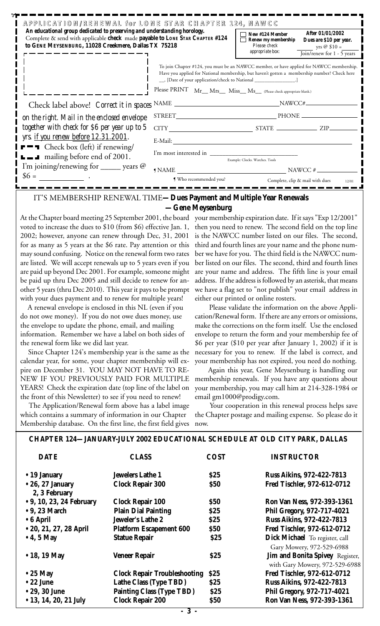| APPLICATION/RENEWAL for LONE STAR CHAPTER 124. NAWCC<br>An educational group dedicated to preserving and understanding horology.<br>Complete & send with applicable check made payable to LONE STAR CHAPTER #124<br>to GENE MEYSENBURG, 11028 Creekmere, Dallas TX 75218 |                                                                                                                                                                                                                                                                       | New #124 Member<br>Renew my membership<br>Please check<br>appropriate box: | After 01/01/2002<br>Dues are \$10 per year.<br>yrs $\oslash$ \$10 =<br>Join/renew for 1 - 5 years |
|--------------------------------------------------------------------------------------------------------------------------------------------------------------------------------------------------------------------------------------------------------------------------|-----------------------------------------------------------------------------------------------------------------------------------------------------------------------------------------------------------------------------------------------------------------------|----------------------------------------------------------------------------|---------------------------------------------------------------------------------------------------|
|                                                                                                                                                                                                                                                                          | To join Chapter #124, you must be an NAWCC member, or have applied for NAWCC membership.<br>Have you applied for National membership, but haven't gotten a membership number? Check here<br>__, [Date of your application/check to National ________________________] |                                                                            |                                                                                                   |
|                                                                                                                                                                                                                                                                          | Please PRINT Mr_Mrs_Miss_Ms_Ms_(Please check appropriate blank.)                                                                                                                                                                                                      |                                                                            |                                                                                                   |
| Check label above! Correct it in spaces NAME                                                                                                                                                                                                                             |                                                                                                                                                                                                                                                                       | NAWCC#                                                                     |                                                                                                   |
| on the right. Mail in the enclosed envelope                                                                                                                                                                                                                              |                                                                                                                                                                                                                                                                       |                                                                            |                                                                                                   |
| together with check for \$6 per year up to 5                                                                                                                                                                                                                             | CITY STATE ZIP                                                                                                                                                                                                                                                        |                                                                            |                                                                                                   |
| yrs. <u>if you renew before 12.31.2001</u> .                                                                                                                                                                                                                             | E-Mail:                                                                                                                                                                                                                                                               |                                                                            |                                                                                                   |
| $\blacksquare$ Check box (left) if renewing/<br>$\Box$ mailing before end of 2001.                                                                                                                                                                                       |                                                                                                                                                                                                                                                                       | Example: Clocks. Watches. Tools                                            |                                                                                                   |
| I'm joining/renewing for $\_\_\_\$ years $@$                                                                                                                                                                                                                             | NAWCC #<br><b>I</b> NAME                                                                                                                                                                                                                                              |                                                                            |                                                                                                   |
| $$6 =$                                                                                                                                                                                                                                                                   | Who recommended you?                                                                                                                                                                                                                                                  |                                                                            | Complete, clip & mail with dues<br>12/01                                                          |

#### IT'S MEMBERSHIP RENEWAL TIME**—Dues Payment and Multiple Year Renewals —Gene Meysenburg**

At the Chapter board meeting 25 September 2001, the board your membership expiration date. If it says "Exp 12/2001" voted to increase the dues to \$10 (from \$6) effective Jan. 1, then you need to renew. The second field on the top line 2002; however, anyone can renew through Dec, 31, 2001 for as many as 5 years at the \$6 rate. Pay attention or this may sound confusing. Notice on the renewal form two rates are listed. We will accept renewals up to 5 years even if you are paid up beyond Dec 2001. For example, someone might be paid up thru Dec 2005 and still decide to renew for another 5 years (thru Dec 2010). This year it pays to be prompt with your dues payment and to renew for multiple years!

 A renewal envelope is enclosed in this NL (even if you do not owe money). If you do not owe dues money, use the envelope to update the phone, email, and mailing information. Remember we have a label on both sides of the renewal form like we did last year.

Since Chapter 124's membership year is the same as the calendar year, for some, your chapter membership will expire on December 31. YOU MAY NOT HAVE TO RE-NEW IF YOU PREVIOUSLY PAID FOR MULTIPLE YEARS! Check the expiration date (top line of the label on the front of this Newsletter) to see if you need to renew!

 The Application/Renewal form above has a label image which contains a summary of information in our Chapter Membership database. On the first line, the first field gives is the NAWCC number listed on our files. The second, third and fourth lines are your name and the phone number we have for you. The third field is the NAWCC number listed on our files. The second, third and fourth lines are your name and address. The fifth line is your email address. If the address is followed by an asterisk, that means we have a flag set to "not publish" your email address in either our printed or online rosters.

Please validate the information on the above Application/Renewal form. If there are any errors or omissions, make the corrections on the form itself. Use the enclosed envelope to return the form and your membership fee of \$6 per year (\$10 per year after January 1, 2002) if it is necessary for you to renew. If the label is correct, and your membership has not expired, you need do nothing.

Again this year, Gene Meysenburg is handling our membership renewals. If you have any questions about your membership, you may call him at 214-328-1984 or email gm1000@prodigy.com.

Your cooperation in this renewal process helps save the Chapter postage and mailing expense. So please do it now.

| <b>CHAPTER 124—JANUARY-JULY 2002 EDUCATIONAL SCHEDULE AT OLD CITY PARK, DALLAS</b> |  |
|------------------------------------------------------------------------------------|--|
|------------------------------------------------------------------------------------|--|

| <b>DATE</b>                               | <b>CLASS</b>                        | <b>COST</b> | <b>INSTRUCTOR</b>                                                 |
|-------------------------------------------|-------------------------------------|-------------|-------------------------------------------------------------------|
| $\bullet$ 19 January                      | <b>Jewelers Lathe 1</b>             | \$25        | <b>Russ Aikins, 972-422-7813</b>                                  |
| $\bullet$ 26, 27 January<br>2, 3 February | <b>Clock Repair 300</b>             | <b>\$50</b> | Fred Tischler, 972-612-0712                                       |
| • 9, 10, 23, 24 February                  | <b>Clock Repair 100</b>             | <b>\$50</b> | Ron Van Ness, 972-393-1361                                        |
| $\bullet$ 9, 23 March                     | <b>Plain Dial Painting</b>          | \$25        | Phil Gregory, 972-717-4021                                        |
| $\bullet$ 6 April                         | Jeweler's Lathe 2                   | \$25        | <b>Russ Aikins, 972-422-7813</b>                                  |
| • 20, 21, 27, 28 April                    | <b>Platform Escapement 600</b>      | <b>\$50</b> | Fred Tischler, 972-612-0712                                       |
| $\bullet$ 4, 5 May                        | <b>Statue Repair</b>                | \$25        | Dick Michael To register, call<br>Gary Mowery, 972-529-6988       |
| • 18, 19 May                              | <b>Veneer Repair</b>                | \$25        | Jim and Bonita Spivey Register,<br>with Gary Mowery, 972-529-6988 |
| $\bullet$ 25 May                          | <b>Clock Repair Troubleshooting</b> | \$25        | Fred Tischler, 972-612-0712                                       |
| $\bullet$ 22 June                         | Lathe Class (Type TBD)              | \$25        | <b>Russ Aikins, 972-422-7813</b>                                  |
| • 29, 30 June                             | <b>Painting Class (Type TBD)</b>    | \$25        | Phil Gregory, 972-717-4021                                        |
| • 13, 14, 20, 21 July                     | <b>Clock Repair 200</b>             | <b>\$50</b> | Ron Van Ness, 972-393-1361                                        |